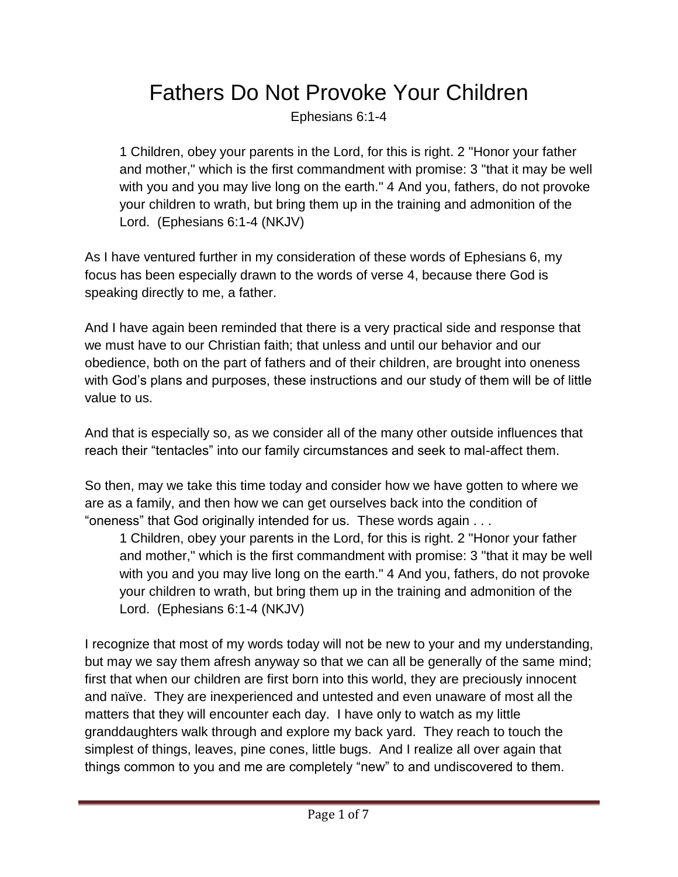## Fathers Do Not Provoke Your Children

Ephesians 6:1-4

1 Children, obey your parents in the Lord, for this is right. 2 "Honor your father and mother," which is the first commandment with promise: 3 "that it may be well with you and you may live long on the earth." 4 And you, fathers, do not provoke your children to wrath, but bring them up in the training and admonition of the Lord. (Ephesians 6:1-4 (NKJV)

As I have ventured further in my consideration of these words of Ephesians 6, my focus has been especially drawn to the words of verse 4, because there God is speaking directly to me, a father.

And I have again been reminded that there is a very practical side and response that we must have to our Christian faith; that unless and until our behavior and our obedience, both on the part of fathers and of their children, are brought into oneness with God's plans and purposes, these instructions and our study of them will be of little value to us.

And that is especially so, as we consider all of the many other outside influences that reach their "tentacles" into our family circumstances and seek to mal-affect them.

So then, may we take this time today and consider how we have gotten to where we are as a family, and then how we can get ourselves back into the condition of "oneness" that God originally intended for us. These words again . . .

1 Children, obey your parents in the Lord, for this is right. 2 "Honor your father and mother," which is the first commandment with promise: 3 "that it may be well with you and you may live long on the earth." 4 And you, fathers, do not provoke your children to wrath, but bring them up in the training and admonition of the Lord. (Ephesians 6:1-4 (NKJV)

I recognize that most of my words today will not be new to your and my understanding, but may we say them afresh anyway so that we can all be generally of the same mind; first that when our children are first born into this world, they are preciously innocent and naïve. They are inexperienced and untested and even unaware of most all the matters that they will encounter each day. I have only to watch as my little granddaughters walk through and explore my back yard. They reach to touch the simplest of things, leaves, pine cones, little bugs. And I realize all over again that things common to you and me are completely "new" to and undiscovered to them.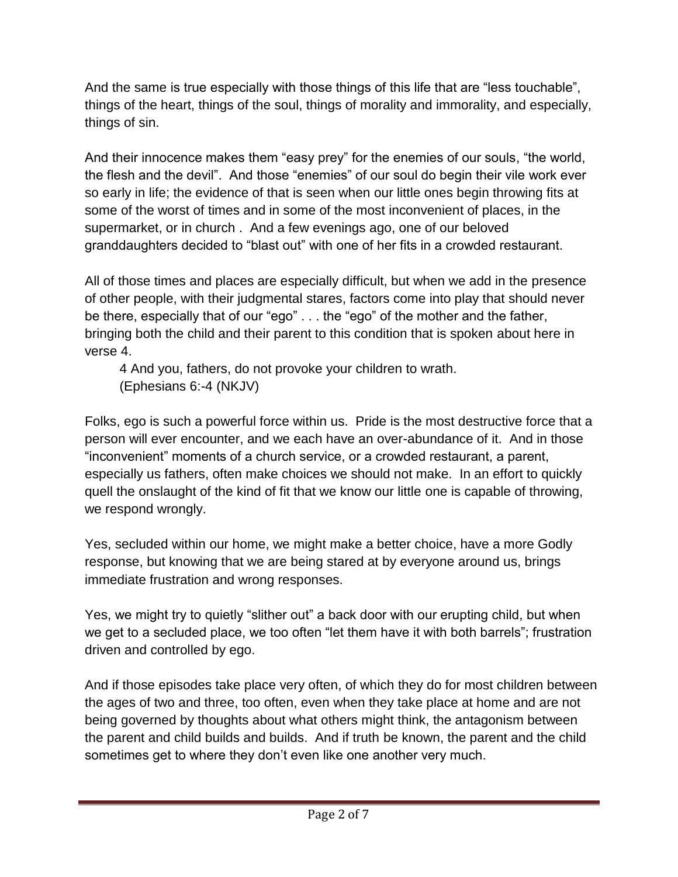And the same is true especially with those things of this life that are "less touchable", things of the heart, things of the soul, things of morality and immorality, and especially, things of sin.

And their innocence makes them "easy prey" for the enemies of our souls, "the world, the flesh and the devil". And those "enemies" of our soul do begin their vile work ever so early in life; the evidence of that is seen when our little ones begin throwing fits at some of the worst of times and in some of the most inconvenient of places, in the supermarket, or in church . And a few evenings ago, one of our beloved granddaughters decided to "blast out" with one of her fits in a crowded restaurant.

All of those times and places are especially difficult, but when we add in the presence of other people, with their judgmental stares, factors come into play that should never be there, especially that of our "ego" . . . the "ego" of the mother and the father, bringing both the child and their parent to this condition that is spoken about here in verse 4.

4 And you, fathers, do not provoke your children to wrath. (Ephesians 6:-4 (NKJV)

Folks, ego is such a powerful force within us. Pride is the most destructive force that a person will ever encounter, and we each have an over-abundance of it. And in those "inconvenient" moments of a church service, or a crowded restaurant, a parent, especially us fathers, often make choices we should not make. In an effort to quickly quell the onslaught of the kind of fit that we know our little one is capable of throwing, we respond wrongly.

Yes, secluded within our home, we might make a better choice, have a more Godly response, but knowing that we are being stared at by everyone around us, brings immediate frustration and wrong responses.

Yes, we might try to quietly "slither out" a back door with our erupting child, but when we get to a secluded place, we too often "let them have it with both barrels"; frustration driven and controlled by ego.

And if those episodes take place very often, of which they do for most children between the ages of two and three, too often, even when they take place at home and are not being governed by thoughts about what others might think, the antagonism between the parent and child builds and builds. And if truth be known, the parent and the child sometimes get to where they don't even like one another very much.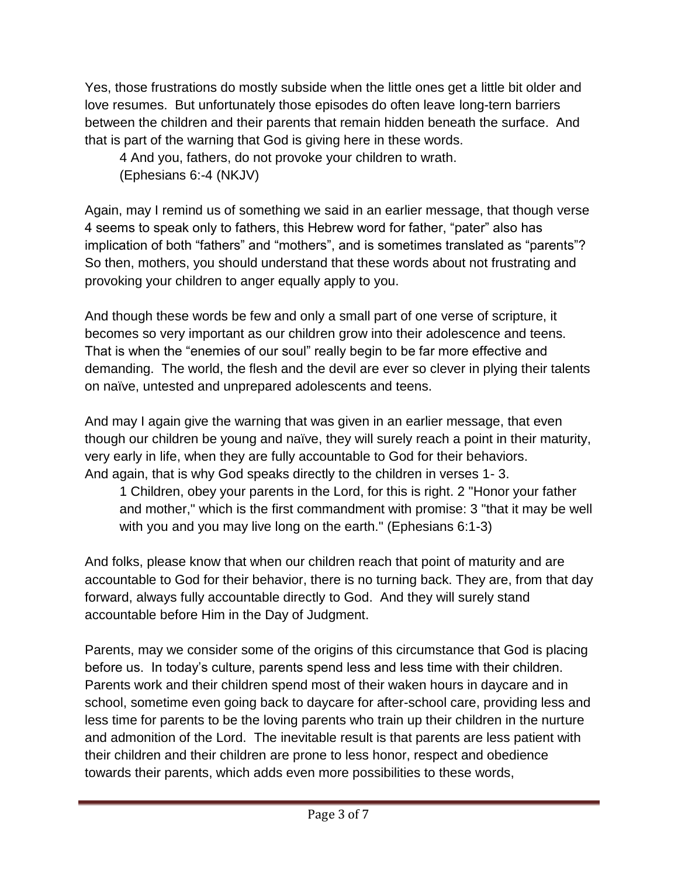Yes, those frustrations do mostly subside when the little ones get a little bit older and love resumes. But unfortunately those episodes do often leave long-tern barriers between the children and their parents that remain hidden beneath the surface. And that is part of the warning that God is giving here in these words.

4 And you, fathers, do not provoke your children to wrath. (Ephesians 6:-4 (NKJV)

Again, may I remind us of something we said in an earlier message, that though verse 4 seems to speak only to fathers, this Hebrew word for father, "pater" also has implication of both "fathers" and "mothers", and is sometimes translated as "parents"? So then, mothers, you should understand that these words about not frustrating and provoking your children to anger equally apply to you.

And though these words be few and only a small part of one verse of scripture, it becomes so very important as our children grow into their adolescence and teens. That is when the "enemies of our soul" really begin to be far more effective and demanding. The world, the flesh and the devil are ever so clever in plying their talents on naïve, untested and unprepared adolescents and teens.

And may I again give the warning that was given in an earlier message, that even though our children be young and naïve, they will surely reach a point in their maturity, very early in life, when they are fully accountable to God for their behaviors. And again, that is why God speaks directly to the children in verses 1- 3.

1 Children, obey your parents in the Lord, for this is right. 2 "Honor your father and mother," which is the first commandment with promise: 3 "that it may be well with you and you may live long on the earth." (Ephesians 6:1-3)

And folks, please know that when our children reach that point of maturity and are accountable to God for their behavior, there is no turning back. They are, from that day forward, always fully accountable directly to God. And they will surely stand accountable before Him in the Day of Judgment.

Parents, may we consider some of the origins of this circumstance that God is placing before us. In today's culture, parents spend less and less time with their children. Parents work and their children spend most of their waken hours in daycare and in school, sometime even going back to daycare for after-school care, providing less and less time for parents to be the loving parents who train up their children in the nurture and admonition of the Lord. The inevitable result is that parents are less patient with their children and their children are prone to less honor, respect and obedience towards their parents, which adds even more possibilities to these words,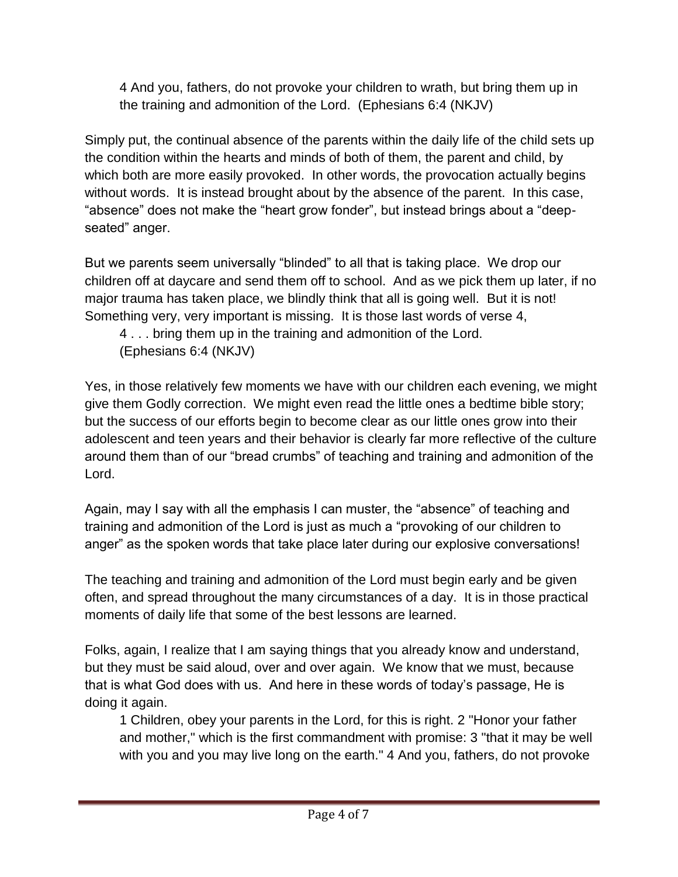4 And you, fathers, do not provoke your children to wrath, but bring them up in the training and admonition of the Lord. (Ephesians 6:4 (NKJV)

Simply put, the continual absence of the parents within the daily life of the child sets up the condition within the hearts and minds of both of them, the parent and child, by which both are more easily provoked. In other words, the provocation actually begins without words. It is instead brought about by the absence of the parent. In this case, "absence" does not make the "heart grow fonder", but instead brings about a "deepseated" anger.

But we parents seem universally "blinded" to all that is taking place. We drop our children off at daycare and send them off to school. And as we pick them up later, if no major trauma has taken place, we blindly think that all is going well. But it is not! Something very, very important is missing. It is those last words of verse 4,

4 . . . bring them up in the training and admonition of the Lord. (Ephesians 6:4 (NKJV)

Yes, in those relatively few moments we have with our children each evening, we might give them Godly correction. We might even read the little ones a bedtime bible story; but the success of our efforts begin to become clear as our little ones grow into their adolescent and teen years and their behavior is clearly far more reflective of the culture around them than of our "bread crumbs" of teaching and training and admonition of the Lord.

Again, may I say with all the emphasis I can muster, the "absence" of teaching and training and admonition of the Lord is just as much a "provoking of our children to anger" as the spoken words that take place later during our explosive conversations!

The teaching and training and admonition of the Lord must begin early and be given often, and spread throughout the many circumstances of a day. It is in those practical moments of daily life that some of the best lessons are learned.

Folks, again, I realize that I am saying things that you already know and understand, but they must be said aloud, over and over again. We know that we must, because that is what God does with us. And here in these words of today's passage, He is doing it again.

1 Children, obey your parents in the Lord, for this is right. 2 "Honor your father and mother," which is the first commandment with promise: 3 "that it may be well with you and you may live long on the earth." 4 And you, fathers, do not provoke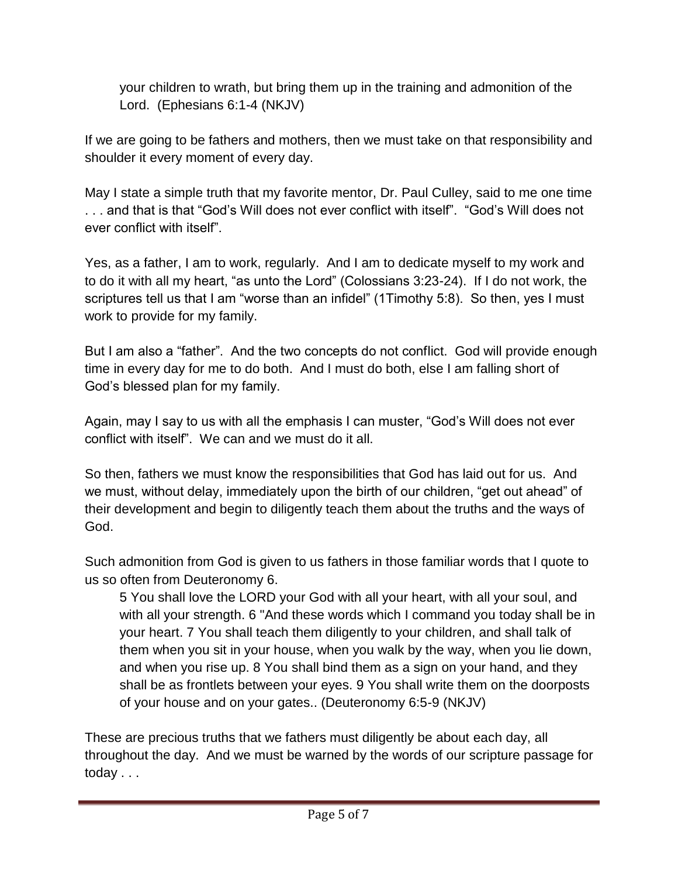your children to wrath, but bring them up in the training and admonition of the Lord. (Ephesians 6:1-4 (NKJV)

If we are going to be fathers and mothers, then we must take on that responsibility and shoulder it every moment of every day.

May I state a simple truth that my favorite mentor, Dr. Paul Culley, said to me one time . . . and that is that "God's Will does not ever conflict with itself". "God's Will does not ever conflict with itself".

Yes, as a father, I am to work, regularly. And I am to dedicate myself to my work and to do it with all my heart, "as unto the Lord" (Colossians 3:23-24). If I do not work, the scriptures tell us that I am "worse than an infidel" (1Timothy 5:8). So then, yes I must work to provide for my family.

But I am also a "father". And the two concepts do not conflict. God will provide enough time in every day for me to do both. And I must do both, else I am falling short of God's blessed plan for my family.

Again, may I say to us with all the emphasis I can muster, "God's Will does not ever conflict with itself". We can and we must do it all.

So then, fathers we must know the responsibilities that God has laid out for us. And we must, without delay, immediately upon the birth of our children, "get out ahead" of their development and begin to diligently teach them about the truths and the ways of God.

Such admonition from God is given to us fathers in those familiar words that I quote to us so often from Deuteronomy 6.

5 You shall love the LORD your God with all your heart, with all your soul, and with all your strength. 6 "And these words which I command you today shall be in your heart. 7 You shall teach them diligently to your children, and shall talk of them when you sit in your house, when you walk by the way, when you lie down, and when you rise up. 8 You shall bind them as a sign on your hand, and they shall be as frontlets between your eyes. 9 You shall write them on the doorposts of your house and on your gates.. (Deuteronomy 6:5-9 (NKJV)

These are precious truths that we fathers must diligently be about each day, all throughout the day. And we must be warned by the words of our scripture passage for today . . .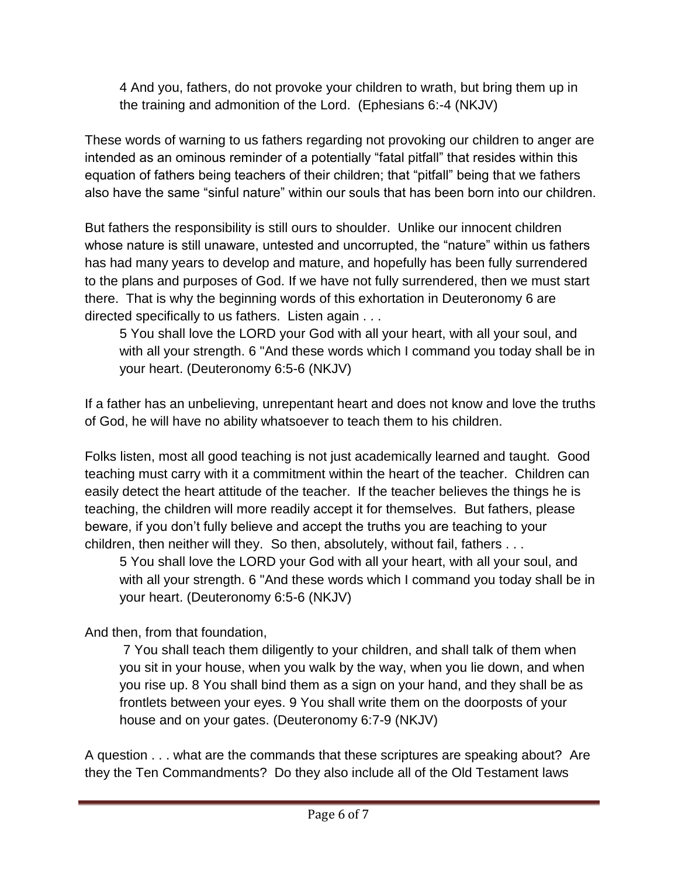4 And you, fathers, do not provoke your children to wrath, but bring them up in the training and admonition of the Lord. (Ephesians 6:-4 (NKJV)

These words of warning to us fathers regarding not provoking our children to anger are intended as an ominous reminder of a potentially "fatal pitfall" that resides within this equation of fathers being teachers of their children; that "pitfall" being that we fathers also have the same "sinful nature" within our souls that has been born into our children.

But fathers the responsibility is still ours to shoulder. Unlike our innocent children whose nature is still unaware, untested and uncorrupted, the "nature" within us fathers has had many years to develop and mature, and hopefully has been fully surrendered to the plans and purposes of God. If we have not fully surrendered, then we must start there. That is why the beginning words of this exhortation in Deuteronomy 6 are directed specifically to us fathers. Listen again . . .

5 You shall love the LORD your God with all your heart, with all your soul, and with all your strength. 6 "And these words which I command you today shall be in your heart. (Deuteronomy 6:5-6 (NKJV)

If a father has an unbelieving, unrepentant heart and does not know and love the truths of God, he will have no ability whatsoever to teach them to his children.

Folks listen, most all good teaching is not just academically learned and taught. Good teaching must carry with it a commitment within the heart of the teacher. Children can easily detect the heart attitude of the teacher. If the teacher believes the things he is teaching, the children will more readily accept it for themselves. But fathers, please beware, if you don't fully believe and accept the truths you are teaching to your children, then neither will they. So then, absolutely, without fail, fathers . . .

5 You shall love the LORD your God with all your heart, with all your soul, and with all your strength. 6 "And these words which I command you today shall be in your heart. (Deuteronomy 6:5-6 (NKJV)

And then, from that foundation,

7 You shall teach them diligently to your children, and shall talk of them when you sit in your house, when you walk by the way, when you lie down, and when you rise up. 8 You shall bind them as a sign on your hand, and they shall be as frontlets between your eyes. 9 You shall write them on the doorposts of your house and on your gates. (Deuteronomy 6:7-9 (NKJV)

A question . . . what are the commands that these scriptures are speaking about? Are they the Ten Commandments? Do they also include all of the Old Testament laws